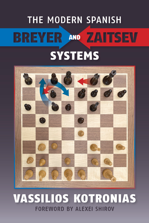## **THE MODERN SPANISH BREYER AND ZAITSEV SYSTEMS**



### **VASSILIOS KOTRONIAS FOREWORD BY ALEXEL SHIROV**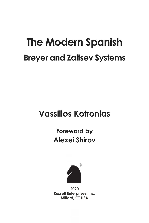# **The Modern Spanish Breyer and Zaitsev Systems**

## **Vassilios Kotronias**

## **Foreword by Alexei Shirov**



**2020 Russell Enterprises, Inc. Milford, CT USA**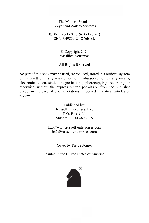The Modern Spanish Breyer and Zaitsev Systems

ISBN: 978-1-949859-20-1 (print) ISBN: 949859-21-8 (eBook)

> © Copyright 2020 Vassilios Kotronias

All Rights Reserved

No part of this book may be used, reproduced, stored in a retrieval system or transmitted in any manner or form whatsoever or by any means, electronic, electrostatic, magnetic tape, photocopying, recording or otherwise, without the express written permission from the publisher except in the case of brief quotations embodied in critical articles or reviews.

> Published by: Russell Enterprises, Inc. P.O. Box 3131 Milford, CT 06460 USA

http://www.russell-enterprises.com info@russell-enterprises.com

Cover by Fierce Ponies

Printed in the United States of America

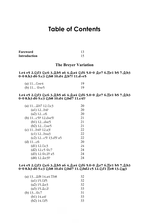### **Table of Contents**

| Foreword     |  |
|--------------|--|
| Introduction |  |

#### **The Breyer Variation**

#### 1.e4 e5 2. hf3 hc6 3. hb5 a6 4. ha4 hf6 5.0-0 he7 6. He1 b5 7. hb3 **0-0 8.h3 d6 9.c3 @b8 10.d4 @b7? 11.dxe5**

| (a) $11\&times4$ | 19 |
|------------------|----|
| (b) 11 ៉∀×e5     | 19 |

#### 1.e4 e5 2.公f3 公c6 3.奠b5 a6 4.奠a4 公f6 5.0-0 奠e7 6.営e1 b5 7.奠b3 0-0 8.h3 d6 9.c3 公b8 10.d4 公bd7 11.c4!?

| (a) $11$ $\Delta b7$ $12.\Delta c3$ | 20 |
|-------------------------------------|----|
| $(a1)$ 12b4?                        | 20 |
| $(a2)$ 12c <sub>6</sub>             | 20 |
| (b) 11c5?! 12.d×e5!                 | 21 |
| $(b1)$ 12 $dxe5$                    | 21 |
| (b2) 12 2×e5                        | 21 |
| (c) $11b4$ ? $12.a3$ !              | 22 |
| $(c1)$ 12b×a3                       | 22 |
| (c2) 12c5! 13.d5! a5                | 22 |
| (d) $11c6$                          | 20 |
| (d1) $12.2c3$                       | 24 |
| (d2) 12.c5 營c7                      | 24 |
| (d3) 12.營c2!? a5                    | 24 |
| (d4) 12. e3!?                       | 24 |

#### 1.e4 e5 2. h 5 h 6 3. h b5 a 6 4. h a 4 h f 6 5.0-0  $\&e$  7 6. h e1 b 5 7. h b 3 0-0 8.h3 d6 9.c3 2b8 10.d4 2bd7 11.2bd2 c5 12.2f1 Ee8 13.2g3

| $(a)$ 13 $\&$ f8 14.a4 $\&$ b8 | 32 |
|--------------------------------|----|
| $(a1)$ 15. $E$ 5               | 32 |
| (a2) 15.2e3                    | 32 |
| $(a3)$ 15. $\&c2!$             | 33 |
| (b) $13$ 營 $C$                 | 31 |
| $(b1)$ 14.a4!                  | 33 |
| (b2) 14. 2f5                   | 33 |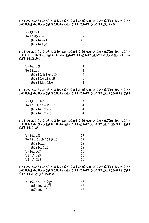#### **1.e4 e5 2.Nf3 Nc6 3.Bb5 a6 4.Ba4 Nf6 5.0-0 Be7 6.Re1 b5 7.Bb3** 0-0 8.h3 d6 9.c3 5 b8 10.d4 5 bd7 11.5 bd2 \$ b7 12. c2 c5

| (a) 13.2f1        | 39 |
|-------------------|----|
| (b) 13.d5! $\&4$  | 38 |
| (b1) $14.$ [sm 1] | 40 |
| $(b2)$ 14.b3!?    | 39 |

1.e4 e5 2. hf3 h c6 3. hp5 a6 4. ha4 hf6 5.0-0 he7 6. He1 b5 7. hp3 **0-0 8.h3 d6 9.c3 公b8 10.d4 公bd7 11.公bd2 公b7 12.公c2 買e8 13.a4 Bf8 14.Bd3!**

| (a) 14d5?!                   | 44 |
|------------------------------|----|
| (b) 14c6                     | 44 |
| (b1) 15. hf1 exd4!?          | 45 |
| (b2) 15.營c2 罝c8!             | 46 |
| $(b3)$ 15.b4 $\triangle$ b6! | 44 |

#### **1.e4 e5 2.公f3 公c6 3.负b5 a6 4.负a4 公f6 5.0-0 负e7 6.罝e1 b5 7.负b3** 0-0 8.h3 d6 9.c3 2b8 10.d4 2bd7 11.2bd2  $\&$  b7 12. $\&$ c2 Ee8 13.2f1

| (a) $13exd4$ ?                   | 53  |
|----------------------------------|-----|
| (b) $13d5$ ?! $14.\&\text{xe5}!$ | -54 |
| (b1) $142$ ×e4?                  | 54  |
| (b2) $142$ ×e5                   | 54  |

#### **1.e4 e5 2.**bf3 he6 3. http://abstabelefa.html \$16 5.0-0 he7 6. ge1 b5 7. html 0-0 8.h3 d6 9.c3 @b8 10.d4 @bd7 11.@bd2 @b7 12. @c2 Fe8 13. Af1 **Bf8 14.Ng3**

| (a) $14d5$ ?                 | 57 |
|------------------------------|----|
| (b) $14$ $2b6!$ ? $15.b3 h6$ | 57 |
| (b1) 16.a4                   | 58 |
| (b2) 16.4d2                  | 58 |
| (c) $14$ c6!?                | 60 |
| $(c1)$ 15.a4!?               | 60 |
| (c2) 15. 5f5                 | 60 |

#### **1.e4 e5 2.Nf3 Nc6 3.Bb5 a6 4.Ba4 Nf6 5.0-0 Be7 6.Re1 b5 7.Bb3** 0-0 8.h3 d6 9.c3 @b8 10.d4 @bd7 11.@bd2 <u>@</u>b7 12.<u>@</u>c2 <u>Ee8</u> 13.@f1 **<u>Af8 14.4 g3 g6 15.b3!?</u>**

| (a) 15d5?! 16. g5! | 68 |
|--------------------|----|
| $(a1)$ 16 $\&g$ 7? | 68 |
| $(a2)$ 16h6        | 68 |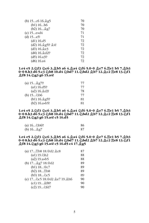| (b) $15$ c6 $16.\&g5$ | 70 |
|-----------------------|----|
| $(b1)$ 16 $h6$        | 70 |
| $(b2)$ 16 $\&g7$      | 70 |
| (c) $15exd4$          | 71 |
| $(d)$ 15 $a$ 5!       | 71 |
| $(d1)$ 16.d5          | 72 |
| (d2) 16. g5!? @4!     | 72 |
| (d3) 16.2e3           | 72 |
| (d4) 16. d2!?         | 72 |
| $(d5)$ 16.a3!?        | 72 |
| (d6) 16.a4            | 72 |

#### 1.e4 e5 2. § f3 § c6 3. **\$ b5** a6 4. **\$ a4** § f6 5.0-0 **\$ e7** 6. <u>Ee1</u> b5 7. **\$** b3 0-0 8.h3 d6 9.c3 公b8 10.d4 公bd7 11.公bd2 *义b7* 12.义c2 罩e8 13.公f1 **Bf8 14.Ng3 g6 15.a4!**

| (a) $15$ $\&q7!$ ?   | 77 |
|----------------------|----|
| $(a1)$ 16.d5!?       | 77 |
| $(a2)$ 16. $\&$ d3!  | 78 |
| (b) $15266$          | 77 |
| $(b1)$ 16. $\&g5!$ ? | 81 |
| $(b2)$ 16.axb5!      | 81 |

#### 1.e4 e5 2. §f3 §c6 3. <u>§</u>b5 a6 4. <u>§</u>a4 §f6 5.0-0 <u>§</u>e7 6. <u>E</u>e1 b5 7. <u>§</u>b3 0-0 8.h3 d6 9.c3 5 b8 10.d4 5 bd7 11.5 bd2 **Ab7 12.Ac2 Fe8 13.5 f1 Af8 14.** ag3 g6 15.a4! c5 16.d5

| (a) $16$ $\&$ b $6$ ?! | 86 |
|------------------------|----|
| (b) $162g7$            | 87 |

#### 1.e4 e5 2.创f3 @c6 3. b5 a6 4. ga4 @f6 5.0-0 <u>@</u>e7 6. ge1 b5 7. @b3 0-0 8.h3 d6 9.c3 2b8 10.d4 2bd7 11.2bd2 Ab7 12.Ac2 Ee8 13.2f1 **Af8 14.** ag3 g6 15.a4! c5 16.d5 c4 17. Ag5

| (a) 17 h8 18. @d2 Ac8          | 87 |
|--------------------------------|----|
| (a1) 19.5h2                    | 88 |
| $(a2)$ 19.axb5                 | 88 |
| (b) 17 g7 18. 窗d2              | 89 |
| (b1) 18營c7                     | 89 |
| (b2) 18 h8                     | 89 |
| $(b3)$ 18 2 $c5$               | 89 |
| (c) 17 2c5 18. 皆d2 鼻e7 19. 鱼h6 | 90 |
| $(c1)$ 19 $\&$ f8?!            | 90 |
| (c2) 19 2fd7                   | 90 |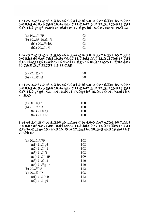**1.e4 e5 2.Nf3 Nc6 3.Bb5 a6 4.Ba4 Nf6 5.0-0 Be7 6.Re1 b5 7.Bb3** 0-0 8.h3 d6 9.c3 公b8 10.d4 公bd7 11.公bd2 *义b7* 12.义c2 罩e8 13.公f1 <u> এf8 14.2g3 g6 15.a4! c5 16.d5 c4 17.এg5 h6 18.এe3 ᡩc7?! 19.쓩d2</u>

| $(a)$ 19\s\, h\, 7!?    | 93 |
|-------------------------|----|
| (b) $19h520.\text{Åh6}$ | 93 |
| (b1) $20$ deb8          | 93 |
| (b2) $202c5$            | 93 |

**1.e4 e5 2.Nf3 Nc6 3.Bb5 a6 4.Ba4 Nf6 5.0-0 Be7 6.Re1 b5 7.Bb3 0-0 8.h3 d6 9.c3 外b8 10.d4 外bd7 11.外bd2 鼻b7 12.鼻c2 買e8 13.4f1 Bf8 14.Ng3 g6 15.a4! c5 16.d5 c4 17.Bg5 h6 18.Be3 Nc5 19.Qd2 Kh7 20.Nh2! Bg7 21.Rf1! h5 22.Nf3!**

| (a) $22$ $\delta$ fd7 | 98 |
|-----------------------|----|
| (b) $22$ \$g8!        | 98 |

**1.e4 e5 2.**bf3 he6 3. http://abstabelefa.html \$16 5.0-0 he7 6. ge1 b5 7. html **0-0 8.h3 d6 9.c3 外b8 10.d4 外bd7 11.外bd2 鼻b7 12.鼻c2 買e8 13.4f1 Af8 14. 2g3 g6 15.a4! c5 16.d5 c4 17. Ag5 h6 18. Ae3 2c5 19. @d2 h5! 20.Bg5**

| (a) $20$ $\&q7$          | 100 |
|--------------------------|-----|
| (b) $20$ ge7!            | 100 |
| (b1) $21.\overline{2}a3$ | 100 |
| $(b2)$ 21. $\Delta$ h6!  | 100 |

**1.e4 e5 2.**bf3 he6 3. http://abstabelefa.html \$16 5.0-0 he7 6. ge1 b5 7. html 0-0 8.h3 d6 9.c3 5 b8 10.d4 5 bd7 11.5 bd2 **Ab7 12.Ac2 Fe8 13.5 f1 Bf8 14.Ng3 g6 15.a4! c5 16.d5 c4 17.Bg5 h6 18.Be3 Nc5 19.Qd2 h5! 20.Kh1!?**

| 108 |
|-----|
| 108 |
| 108 |
| 108 |
| 109 |
| 110 |
| 110 |
| 112 |
| 108 |
| 112 |
| 112 |
|     |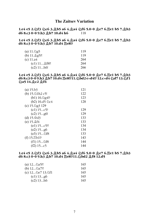#### **The Zaitsev Variation**

1.e4 e5 2.<sup>5</sup> and 3. ab5 a6 4. a4 5 f6 5.0-0 a e7 6. Ee1 b5 7. ab3 **d6 8.c3 0-0 9.h3**  $\⊂>10$ **.d4 h6** 118

#### 1.e4 e5 2.<sup>5</sup> and 3. Ab5 a6 4. Aa4 5 f6 5.0-0 Ae7 6. Ee1 b5 7. Ab3 d6 8.c3 0-0 9.h3  $Q$ b7 10.d4 買e8!?

| (a) 11.⁄ലൂ5         | 119 |
|---------------------|-----|
| (b) $11.\&g5$ ?!    | 119 |
| (c) 11.a4           | 264 |
| $(c1)$ 11 $\&$ f8?! | 264 |
| $(c2)$ 11h6!        | 266 |
|                     |     |

#### 1.e4 e5 2.创f3 @c6 3. b5 a6 4. ga4 @f6 5.0-0 <u>@</u>e7 6. ge1 b5 7. @b3 **d6 8.c3 0-0 9.h3**  $\triangle$ **b7 10.d4**  $\triangle$ **e8!?11.** $\triangle$ **bd2 exd4!? 12.cxd4**  $\triangle$ **d7 13.** $\triangle$ **f1 Na5 14.Bc2 Bf6**

| $(a)$ 15.b3                 | 121 |
|-----------------------------|-----|
| (b) 15.⁄⊇1h2 c5!            | 122 |
| $(b1)$ 16. $2g4$ ?          | 123 |
| (b2) $16. d5 \&c4$          | 128 |
| (c) 15. 2g3 129             |     |
| $(c1)$ 15c5?                | 129 |
| $(c2)$ 15g6!                | 129 |
| (d) 15.쌀d3                  | 133 |
| $(e)$ 15. $\mathfrak{A}$ f4 | 133 |
| $(e1)$ 15c5?!               | 134 |
| $(e2)$ 15gb                 | 134 |
| (e3) 15…වාf8                | 133 |
| $(f)$ 15. $E$ b1!?          | 143 |
| (f1) 15…�f8                 | 144 |
| $(f2)$ 15c5                 | 144 |

#### 1.e4 e5 2.创f3 创c6 3.奠b5 a6 4.奠a4 创f6 5.0-0 奠e7 6.He1 b5 7.奠b3 d6 8.c3 0-0 9.h3  $Qb7$  10.d4  $E$ e8!?11. $Q$ bd2  $Qf8$  12.d5

| (a) $12\&23?!$   | 165 |
|------------------|-----|
| (b) $122a7$ ?    | 165 |
| (c) 12…ඩe7 13.ඩ1 | 165 |
| $(c1)$ 13gb      | 165 |
| $(c2)$ 13 $h6$   | 165 |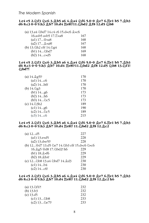#### 1.e4 e5 2. § f3 § c6 3. **\$ b5** a6 4. **\$ a4** § f6 5.0-0 **\$ e7** 6. <u>Ee1</u> b5 7. **\$** b3 **d6 8.c3 0-0 9.h3**  $\Delta$  **b7 10.d4 He8!?11.**  $\sqrt{$  bd2  $\Delta$  f8 12.d5  $\sqrt{}$  b8

| (a) 13.a4 公bd7 14.c4 c6 15.d×c6 ₫×c6 |     |
|--------------------------------------|-----|
| 16.a×b5 a×b5 17. xa8                 | 167 |
| $(a1) 17$ & $xa8$                    | 168 |
| $(a2)$ 17 $\&x38!$                   | 167 |
| (b) 13.2h2 c6! 14.2g4                | 168 |
| $(b1)$ 14 $\&\text{bd7}$             | 169 |
| $(b2)$ 14 $c \times d5$              | 168 |
|                                      |     |

#### 1.e4 e5 2. §f3 §c6 3. <u>§</u>b5 a6 4. <u>§</u>a4 §f6 5.0-0 <u>§</u>e7 6. <u>E</u>e1 b5 7. <u>§</u>b3 **d6 8.c3 0-0 9.h3**  $\Delta b$ **7 10.d4 Ee8!?11.** $\Delta b$ **d2**  $\Delta f$ **f8 12.d5**  $\Delta b$ **8 13.** $\Delta f$ 1! **Nbd7!**

| $(a)$ 14. $\&$ g5!?           | 170 |
|-------------------------------|-----|
| $(a1)$ 14c6                   | 170 |
| $(a2)$ 14 $h6!$               | 170 |
| (b) $14.\text{\textdegree}23$ | 170 |
| $(b1)$ 14gb                   | 173 |
| $(b2)$ 14 $h6$                | 173 |
| (b3) $142c5$                  | 173 |
| (c) 14.23h2                   | 189 |
| $(c1)$ 14gb                   | 190 |
| $(c2)$ 14 2 $c5$              | 189 |
| $(c3)$ 14 $c6$                | 215 |

#### 1.e4 e5 2.@f3 @c6 3.<u>@b5</u> a6 4.<u>@</u>a4 @f6 5.0-0 <u>@</u>e7 6.Ee1 b5 7.<u>@</u>b3 **d6 8.c3 0-0 9.h3**  $\triangle$ **b7 10.d4**  $\triangle$ **e8!? 11. bd2**  $\triangle$ **f8 12.** $\triangle$ **c2**

| (a) $12d5$                                   | 227 |
|----------------------------------------------|-----|
| $(a1)$ 13. $exd5$                            | 228 |
| (a2) 13.d×e5!?                               | 228 |
| (b) 12 @d7 13.d5 2e7 14.2b3 c6! 15.dxc6 2xc6 |     |
| 16. g5 窗d8 17. 2bd2! h6                      | 229 |
| $(b1) 18.4 \times 16$                        | 229 |
| (b2) 18. h4!                                 | 229 |
| (c) 12 2b8 13.a4 2bd7 14. 2d3                | 230 |
| $(c1)$ 14b4                                  | 230 |
| $(c2)$ 14 $c6!$                              | 230 |

#### 1.e4 e5 2.@f3 @c6 3.<u>@b5</u> a6 4.<u>@</u>a4 @f6 5.0-0 <u>@</u>e7 6.Ee1 b5 7.<u>@</u>b3 **d6 8.c3 0-0 9.h3**  $\&$  **b7 10.d4**  $\&$ **e8!? 11. \dd2**  $\&$  **f8 12. \de2 h6**

| (a) $13.\text{\textdegreeled{12}}$ | 232 |
|------------------------------------|-----|
| $(b)$ 13.b3                        | 232 |
| $(c)$ 13.d5                        | 232 |
| $(c1)$ 13 $\&b8$                   | 233 |
| $(c2)$ 13 2e7!?                    | 233 |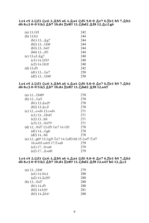#### 1.e4 e5 2. § f3 § c6 3. **\$ b5** a6 4. **\$ a4** § f6 5.0-0 **\$ e7** 6. He1 b5 7. **\$** b3 d6 8.c3 0-0 9.h<sub>3</sub>  $\Delta b$ 7 10.d4 Ee8!? 11.2 bd2  $\Delta f$ 8 12. $\Delta c$ 2 g6

| (a) 13.⁄⊇f1                | 242 |
|----------------------------|-----|
| $(b)$ 13.b3                | 244 |
| (b1) 13 g7                 | 244 |
| (b2) 13…�b8                | 244 |
| $(b3)$ 13 $b4$ !?          | 244 |
| $(b4)$ 13d5!               | 244 |
| (c) 13.a3 $\&$ g7          | 248 |
| $(c1)$ 14. $f1$ ?!         | 248 |
| $(c2)$ 14. $\triangle$ b3! | 248 |
| $(d)$ 13.d5                | 242 |
| (d1) 13…∕⊇e7               | 250 |
| (d2) 13…�b8!               | 250 |

#### 1.e4 e5 2. §f3 §c6 3. <u>@</u>b5 a6 4. @a4 §f6 5.0-0 @e7 6. Ee1 b5 7. @b3 d6 8.c3 0-0 9.h3  $Qb7$  10.d4 He8!? 11. $Qbd2$   $Qf8$  12.a4!?

| 270                                              |
|--------------------------------------------------|
| 270                                              |
| 270                                              |
| 270                                              |
| 271                                              |
| 271                                              |
| 271                                              |
| 271                                              |
| 278                                              |
| 278                                              |
| 278                                              |
| (e) 12g6?! 13. g5! 罝e7 14. adf3 h6 15. axf7 罝×f7 |
| 279                                              |
| 279                                              |
| 279                                              |
|                                                  |

#### **1.e4 e5 2.Nf3 Nc6 3.Bb5 a6 4.Ba4 Nf6 5.0-0 Be7 6.Re1 b5 7.Bb3 d6 8.c3 0-0 9.h3 Bb7 10.d4 Re8!? 11.Nbd2 Bf8 12.a4!? h6 13.Bc2**

| (a) 13…ඩb8           | 279 |
|----------------------|-----|
| $(a1)$ 14.營e2        | 280 |
| $(a2)$ 14. $\&$ d3!? | 280 |
| (b) 13營d7            | 280 |
| $(b1)$ 14.d5         | 280 |
| $(b2)$ 14.b3!?       | 281 |
| (b3) 14. b1!         | 280 |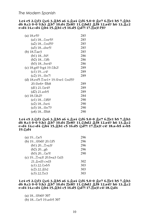*The Modern Spanish*

#### 1.e4 e5 2. bf3 ៀc6 3. gb5 a6 4. ga4 (b16 5.0-0 ge7 6. ge1 b5 7. gb3 **d6 8.c3 0-0 9.h3 Bb7 10.d4 Re8!? 11.Nbd2 Bf8 12.a4!? h6 13.Bc2 exd4 14.cxd4 @b4 15.@b1 c5 16.d5 @d7! 17.Ea3! f5!?**

| $(a)$ 18.e5!?            | 285 |
|--------------------------|-----|
| (a1) 18…۞×e5?!           | 285 |
| (a2) 18…�×d5!?           | 285 |
| (a3) 18…d×e5!            | 285 |
| (b) 18. <sub>⊥ae3</sub>  | 285 |
| (b1) 18f4?!              | 286 |
| (b2) 18…��f6             | 286 |
| (b3) 18f×e4!?            | 286 |
| (c) 18.g4!? f×g4 19. h2! | 289 |
| $(c1)$ 19c4?             | 289 |
| (c2) 19…ෂීe7!            | 289 |
|                          |     |
| 20.營e6+ 魯h8              | 289 |
| (d1) 21.ඩe4?!            | 289 |
| (d2) $21.axb5$           | 289 |
| (e) 18.⁄⊇h2‼             | 284 |
| (e1) 18…වාf6?!           | 290 |
| $(e2)$ 18f $xe4$         | 290 |
| (e3) 18…&e7‼             | 290 |
| (e4) 18…೪h8              | 290 |

1.e4 e5 2. hf3 hc6 3. hb5 a6 4. ha4 hf6 5.0-0 he7 6. He1 b5 7. hb3 **d6 8.c3 0-0 9.h3 Bb7 10.d4 Re8!? 11.Nbd2 Bf8 12.a4!? h6 13.Bc2 exd4 14.cxd4 Nb4 15.Bb1 c5 16.d5 Nd7! 17.Ra3! c4! 18.axb5 axb5** 19.2d4

| (a) $192e5$                          | 296 |
|--------------------------------------|-----|
| (b) 19 營b6!? 20. 公f5                 | 296 |
| (b1) 20 Exa3?                        | 296 |
| $(b2)$ 20gb                          | 296 |
| (b3) 20 De5!                         | 290 |
| (c) 19 Exa3! 20.bxa3 2d3             |     |
| $21.4 \times d3 \text{ c} \times d3$ | 302 |
| $(c1)$ 22. $\&$ $\times$ b5          | 303 |
| (c2) 22.4 b2                         | 303 |
| (c3) 22.ke3                          | 303 |

1.e4 e5 2. §f3 §c6 3. <u>§</u>b5 a6 4. <u>§</u>a4 §f6 5.0-0 <u>§</u>e7 6. <u>E</u>e1 b5 7. <u>§</u>b3 **d6 8.c3 0-0 9.h3**  $\&$ **b7 10.d4 Ee8!? 11. bd2**  $\&$ **f8 12.a4!? h6 13. c2 exd4 14.cxd4 \$\b4 15. \dota c5 16.d5 \$\d7! 17. Aa3! c4! 18. \$\d4** 

 $(a)$  18...\btml\6?? 307

(b) 18... De 5 19.axb 5 307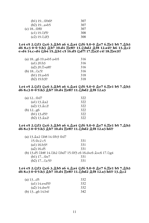| $(b1)$ 19 \$b6?!        | 307 |
|-------------------------|-----|
| $(b2)$ 19 $a \times b5$ | 307 |
| (c) 18…\rto!            | 307 |
| $(c1)$ 19. $\Delta$ f5? | 308 |
| $(c2)$ 19. 2f3          | 308 |

**1.e4 e5 2.Nf3 Nc6 3.Bb5 a6 4.Ba4 Nf6 5.0-0 Be7 6.Re1 b5 7.Bb3 d6 8.c3 0-0 9.h3 Bb7 10.d4 Re8!? 11.Nbd2 Bf8 12.a4!? h6 13.Bc2** e×d4 14.c×d4 公b4 15. Lb1 c5 16.d5 公d7! 17. Ea3! c4! 18. Eee3!?

| (a) $18g6$ 19.axb5 axb5 | 316 |
|-------------------------|-----|
| (a1) 20.b3              | 316 |
| (a2) 20. xa8 !?         | 316 |
| (b) $182c5!$            | 316 |
| $(b1) 19. a \times b5$  | 318 |
| $(b2)$ 19.b3!?          | 318 |

#### 1.e4 e5 2. hf3 hc6 3. hb5 a6 4. ha4 hf6 5.0-0 he7 6. ge1 b5 7. hb3 **d6 8.c3 0-0 9.h3**  $\triangle$ **b7 10.d4 Fe8!? 11.5 bd2**  $\triangle$  **f8 12.a3**

| $(a)$ 12 ad7   | 322 |
|----------------|-----|
| (a1) 13.2a2    | 322 |
| (a2) 13.2c2!   | 322 |
| (b) $12g6$     | 322 |
| $(b1)$ 13.d5!? | 322 |
| (b2) 13. a2!   | 322 |

#### **1.e4 e5 2.Nf3 Nc6 3.Bb5 a6 4.Ba4 Nf6 5.0-0 Be7 6.Re1 b5 7.Bb3** d6 8.c3 0-0 9.h3  $Qb7 10. d4$  He8!? 11. $Qbd2$   $Qf8 12.a3 h6!$ ?

| (a) 13. a2 2b8 14. 曾b3 曾d7 |                                                           |
|----------------------------|-----------------------------------------------------------|
| 15.營c2 c5                  | 331                                                       |
| $(a1)$ 16.b3?!             | 331                                                       |
| $(a2)$ 16.d5               | 331                                                       |
|                            | (b) 13.d5 2b8! 14.2h2 2bd7 15. f3 c6 16.dxc6 2xc6 17. 2g4 |
| (b1) 17營e7                 | 331                                                       |
| $(b2)$ 17 2c5!?            | 331                                                       |

#### 1.e4 e5 2. §f3 §c6 3. <u>§</u>b5 a6 4. <u>§</u>a4 §f6 5.0-0 <u>§</u>e7 6. <u>E</u>e1 b5 7. <u>§</u>b3 **d6 8.c3 0-0 9.h3**  $\Delta$ **b7 10.d4 Fe8!? 11.5 bd2**  $\Delta$ **f8 12.a3 h6!? 13.** $\Delta$ **c2**

| (a) $13d5$          | 332 |
|---------------------|-----|
| $(a1)$ 14.exd5!?    | 332 |
| $(a2)$ 14. $dxe5!$  | 332 |
| (b) $13g6$ $14.b4!$ | 342 |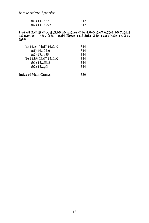*The Modern Spanish*

| (b1) $14a5$ ?! | 342 |
|----------------|-----|
| (b2) 14…�b8!   | 342 |

#### **1.e4 e5 2.Nf3 Nc6 3.Bb5 a6 4.Ba4 Nf6 5.0-0 Be7 6.Re1 b5 7.Bb3 d6 8.c3 0-0 9.h3 Bb7 10.d4 Re8!? 11.Nbd2 Bf8 12.a3 h6!? 13.Bc2 幻b8**

| (a) $14.b4$ $\&$ bd7 $15.\&$ b2 | 344 |
|---------------------------------|-----|
| $(a1)$ 15 $\&\&\;$ b6           | 344 |
| $(a2)$ 15 $a5$ ??               | 344 |
| (b) 14.b3 2bd7 15.2b2           | 344 |
| (b1) 15 h8                      | 344 |
| $(b2)$ 15g $6!$                 | 344 |
|                                 |     |

**Index of Main Games** 350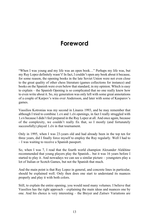### **Foreword**

"When I was young and my life was an open book…" Perhaps my life was, but my Ruy Lopez definitely wasn't! In fact, I couldn't open any book about it because, for some reason, the opening books in the late Soviet Union were not even close to the great quality of other chess literature (games collections for instance) and books on the Spanish were even below that standard, in my opinion. Which is easy to explain – the Spanish Opening is so complicated that no one really knew how to even write about it. So, my generation was only left with some great annotations of a couple of Karpov's wins over Andersson, and later with some of Kasparov's games.

Vassilios Kotronias was my second in Linares 1993, and he may remember that although I tried to combine 1.e4 and 1.d4 openings, in fact I really struggled with 1.e4 because I didn't feel prepared in the Ruy Lopez at all. And once again, because of the complexity, we couldn't really fix that, so I mostly (and fortunately successfully) played 1.d4 in that tournament.

Only in 1995, when I was 23-years old and had already been in the top ten for three years, did I finally force myself to employ the Ruy regularly. Well I had to – I was waiting to receive a Spanish passport.

So, when I was 7, I read that the fourth world champion Alexander Alekhine recommended that young players play the Spanish... but it was 16 years before I started to play it. And nowadays we can see a similar picture – youngsters play a lot of Italian or Scotch Games, but not the Spanish that much.

And the main point is that Ruy Lopez in general, and concrete lines in particular, should be explained well. Only then does one start to understand its nuances properly and play it with both colors.

Still, to explain the entire opening, you would need many volumes. I believe that Vassilios has the right approach – explaining the main ideas and nuances one by one. And his choice is very interesting – the Breyer and Zaitsev Variations are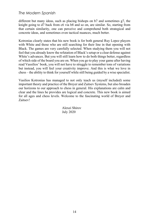#### *The Modern Spanish*

different but many ideas, such as placing bishops on b7 and sometimes g7, the knight going to d7 back from c6 via b8 and so on, are similar. So, starting from that certain similarity, one can perceive and comprehend both strategical and concrete ideas, and sometimes even tactical nuances, much better.

Kotronias clearly states that his new book is for both general Ruy Lopez players with White and those who are still searching for their line in that opening with Black. The games are very carefully selected. When studying them you will not feel that you already know the refutation of Black's setup or a clear defense against White's advances. But you will still learn how to do both things better, regardless of which side of the board you are on. When you go to play your game after having read Vassilios' book, you will not have to struggle to remember tons of variations but instead, you will feel your creativity improve. And this is what we love in chess – the ability to think for yourself while still being guided by a wise specialist.

Vasilios Kotronias has managed to not only teach us (myself included) some important theory and practice of the Breyer and Zaitsev Systems, but also broaden our horizons to our approach to chess in general. His explanations are calm and clear and the lines he provides are logical and concrete. This new book is aimed for all ages and chess levels. Welcome to the fascinating world of Breyer and Zaitsev!

> Alexei Shirov July 2020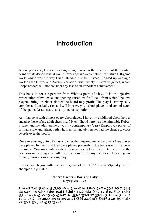## **Introduction**

A few years ago, I started writing a huge book on the Spanish, but the twisted horns of fate decided that it would never appear as a complete illustrative 100-game work, which was the way I had intended it to be. Instead, I ended up writing a work on the Breyer and Zaitsev Variations with twenty illustrative games, which I hope readers will not consider any less of an important achievement.

This book is not a repertoire from White's point of view. It is an objective presentation of two excellent opening variations for Black, from which I believe players sitting on either side of the board may profit. The play is strategically complex and tactically rich and will improve you as both players and connoisseurs of the game. Or at least this is my secret aspiration.

As it happens with almost every chessplayer, I have my childhood chess heroes and also those of my adult chess life. My childhood hero was the inimitable Robert Fischer and my adult era hero was my contemporary Garry Kasparov, a player of brilliant style and talent, with whom unfortunately I never had the chance to cross swords over the board.

Quite interestingly, two fantastic games that inspired me to become a 1.e4 player were played by them and they were played precisely in the two systems this book discusses. You may witness these two games below. I must tell you that the positions in the diagrams will never be erased from my memory. They are gems of nice, harmonious attacking play.

Let us first begin with the tenth game of the 1972 Fischer-Spassky world championship match.

#### **Robert Fischer – Boris Spassky Reykjavik 1972**

**1.e4 e5 2.Nf3 Nc6 3.Bb5 a6 4.Ba4 Nf6 5.0-0 Be7 6.Re1 b5 7.Bb3** d6 8.c3 0-0 9.h3 公b8 10.d4 公bd7 11.公bd2 *公b7* 12.公c2 買e8 13.b4 **③f8 14.a4 公b6 15.a5 公bd7 16.③b2 營b8 17.買b1 c5 18.bxc5 dxc5** 19.d×e5 公×e5 20.公×e5 替×e5 21.c4 眥f4 22.**鼻×f6 眥×f6 23.c×b5 罝ed8** 24.曾c1 曾c3 25.公f3 曾×a5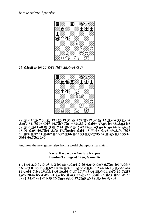*The Modern Spanish*



**26.Bb3!! axb5 27.Qf4 Rd7 28.Ne5 Qc7**



29.罝bd1! 罝e7 30.页×f7+ 罝×f7 31.쌉×f7+ 쌉×f7 32.匀×f7 *负*×e4 33.罝×e4 **Kxf7 34.Rd7+ Kf6 35.Rb7 Ra1+ 36.Kh2 Bd6+ 37.g3 b4 38.Kg2 h5 39.Rb6 Rd1 40.Kf3 Kf7 41.Ke2 Rd5 42.f4 g6 43.g4 hxg4 44.hxg4 g5 45.f5 Be5 46.Rb5 Kf6 47.Rexb4 Bd4 48.Rb6+ Ke5 49.Kf3 Rd8 50.Rb8 Rd7 51.R4b7 Rd6 52.Rb6 Rd7 53.Rg6 Kd5 54.Rxg5 Be5 55.f6** *<b>gd4 56.買b1 1-0* 

And now the next game, also from a world championship match.

**Garry Kasparov – Anatoly Karpov London/Leningrad 1986, Game 16**

**1.e4 e5 2.Nf3 Nc6 3.Bb5 a6 4.Ba4 Nf6 5.0-0 Be7 6.Re1 b5 7.Bb3** d6 8.c3 0-0 9.h<sub>3</sub>  $\&$  b7 10.d4 Ee8 11. bd2  $\&$  f8-12.a4 h6 13.  $\&$  c2 exd4 14.c×d4 公b4 15.负b1 c5 16.d5 公d7 17.*Ea3 c4 18.*公d4 *曾f6 19.*公2f3 **@c5 20.axb5 axb5 21.@xb5**  $\Xi$ **xa3 22.@xa3 @a6 23.** $\Xi$ **e3**  $\Xi$ **b8 24.e5** dxe5 25.4 xe5 4 bd3 26.4 g4 *Nb6 27.Eg3 g6 28.Axh6 Nbxb2*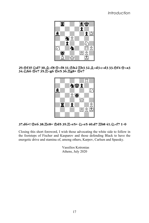*Introduction*



**29.Qf3!! Nd7 30.Bxf8 Kxf8 31.Kh2 Rb3 32.Bxd3 cxd3 33.Qf4 Qxa3** 34.2h6 曾e7 35.宫×g6 曾e5 36.岂g8+ 曾e7



#### **37.d6+! Ke6 38.Re8+ Kd5 39.Rxe5+ Nxe5 40.d7 Rb8 41.Nxf7 1-0**

Closing this short foreword, I wish those advocating the white side to follow in the footsteps of Fischer and Kasparov and those defending Black to have the energetic drive and stamina of, among others, Karpov, Carlsen and Spassky.

> Vassilios Kotronias Athens, July 2020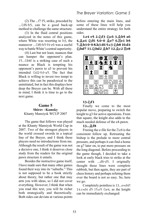(2) The ...f7-f5, strike, preceded by ... $\triangle$ f6-h5, can be a good back-up method to challenge the same structure.

(3) In the fluid central positions analyzed in the notes of this game, where White was resorting to b3, the maneuver .....  $66$ -h5-f4-e6 was a useful way to battle White's central superiority.

(4) Last but not least, nuances that can hamper the opponent's plan. 15... $\triangle$ b6! is a striking case of such a nuance as Black is tempting his opponent's pawn to a5 to prevent his intended  $\triangle$ d2-b3-a5. The fact that Black is willing to invest two tempi to achieve this can be paradoxical to the uninitiated, but in fact this displays how deep the Breyer can be. With all these in mind, I think it is time to go to the next game.

#### **Game 5**

#### **Shirov –Kamsky** Khanty Mansiysk WCUP 2007

The game that follows was played at the Khanty Mansiysk World Cup in 2007. Two of the strongest players in the world crossed swords in a topical line of the Breyer, and I think these players need no introductions from me. Although the result of the game was not a decisive one, I think it deserves close study from the readers for the original pawn structure it entails.

Besides the instructive game itself, I have made sure that many other games found their way into its "suburbs." This is not supposed to be a book strictly about theory, but rather one that may arm you with ideas, so I did not cover everything. However, I think that when you read this text, you will be richer both strategically and theoretically. Both sides can deviate at various points

before entering the main lines, and some of these lines will help you understand the entire strategy for both sides.

**1.e4 e5 2.@f3 @c6 3.@b5 a6 4.Ba4 Nf6 5.0-0 Be7 6.Re1 b5 7.Bb3 0-0 8.h3 d6 9.c3 Nb8 10.d4 Nbd7 11.Nbd2 Bb7 12.Bc2 Re8**



#### **13.Nf1**

Finally we come to the most popular move, preparing to switch the knight to g3 for active operations. From that square, the knight also adds to the much needed defense of the e4-pawn.

#### **13...Bf8**

Freeing the e-file for the  $\Xi$ e8 is the consistent follow up. Retreating the bishop is the prelude to more central pressure, and perhaps it can find a home on g7 later on, to put more pressure on the long diagonal. Before proceeding to the game though, I decided to take a look at early black tries to strike at the center with ...d6-d5. I originally thought these lines were complete rubbish, but then again, they are part of chess history and perhaps refuting them over the board is not so easy. So, here we go.

Completely pointless is 13...exd4?! 14.c×d4 d5 15.e5  $\&$ e4, as the knight can be immediately exchanged: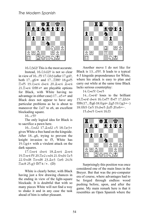

 $16.$   $\&$   $3d$ 2! This is the most accurate.

Instead,  $16.$  \$1d2!? is not so clear in view of 16...f5! 17. (after 17.g4!?, both 17...g6∞ and 17... Lif8!? 18.g×f5  $\mathbb{Z}$ xf5 19. $\&$ xe4 dxe4 20. $\&$ xe4  $\&$ xe4 21. $\mathbb{Z} \times 4 \cong \mathbb{S} \implies$  are playable options for Black, with White having no advantage in either case)  $17...a5 \rightleftarrows$  and Black does not appear to have any particular problems as he is about to maneuver the  $\triangle$ d7 to e6, an excellent blockading square.

16...c5!?

The only logical idea for Black is to sacrifice a pawn here.

16... < > 2xd2 17. << < < < < 18. < < 18. < < 16. < 16. < 16. < 16. < 16. < 16. < 16. < 16. < 16. < 16. < 16. < 16. < 16. < 16. < 16. < 16. < 16. < 16. < 16. < 16. < 16. < 16. < 16. < 16. < 16. < 16. < 16. < 16. < 16. < 16 gives White a free hand on the kingside. After 18...g6, trying to prevent the knight invasion to f5, White has 19. $\sqrt{2}g^2$  with a virulent attack on the dark squares.

17. lxe4 dxe4 18. lxe4 lxe4 19. xe4 f5! 20. Ee2 cxd4 21. @xd4 2c5 22. txd8 Eexd8 23. de3 2e6 24.f4  $\Xi$ ac8 25.g3  $F = / \pm$ . (D)

White is clearly better, with Black having just a few drawing chances in the ending in view of the light-square blockade. It is doubtful that with so many pieces White will not find a way to shake it and in any case the task ahead of him is rather pleasant.



Another move I do not like for Black is 13...d5?!. It leads to a typical 4-3 kingside preponderance for White, where his attack is easy to plan and carry out while at the same time Black lacks serious counterplay:

14.ඩ×e5! ඩ×e5

 $14...\>xe4?$  loses to the brilliant 15. xe4! dxe4 16. 2xf7! \"\star{17. \!\b3+  $B(17...Bg618.9g4+ Ag519.Qg3+-)$ 18. h5 e65 19. dxe5 Ad5 20. e6+-.

15.dxe5 2xe4 16.f3



Surprisingly this position was once considered one of the main lines in the Breyer. But that was the pre-computer era of course, where advantages had to be forged through endless wood pushing before, upon, and after the game. My main remark here is that it resembles an Open Spanish where the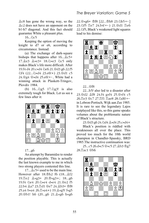$AC8$  has gone the wrong way, so the  $\&c2$  does not have an opponent on the b1-h7 diagonal. And this fact should guarantee White a pleasant plus.

 $16...2c5$ 

Keeping the option of moving the knight to d7 or e6, according to circumstance. Instead:

(a) The exchange of dark-square bishops that happens after  $16...$  $2c5+$ 17. Le3  $2 \times 3 + 18.2 \times 3$  2c5 only makes Black's life more difficult. After 19.f4 d4 20.c×d4 2e6 21. d3 g6 22.f5  $\text{4}$  (22...  $\text{4}$ ×d $\text{4}$  23.e6!  $\pm$ ) 23. $\text{4}$ d1 c5 24. g4 營×d4 25.e6! +-, White had a winning attack in Plaskett-Tringov, Plovdiv 1984.

(b)  $16...\text{Qg}5$  17. [\sqmar{3}3! is also extremely tough for Black. Let us see a few lines after it:



#### 17...g6

An attempt by Baramidze to render the position playable. This is actually the last known example to me in which two strong players contested this line.

 $17...$  $2c5+$  used to be the main line. However after  $18.\&h2$  f6  $(18...\&f2)$ 19. e2  $\&$  xg3+ 20. \$xg3 ±; 18...g6 19.f4 2e4 20.2xe4 dxe4 21. e2 f5 22.b4 鼻a7 23.罝d1 營e7 24.鼻b3+ 窗f8 25.a4 bxa4 26.<sup>g</sup>xa4 ± 19. gxg5! fxg5 20.@b1! h6 (20...g6 21.@xg6 hxg6 22. sxg6+ \$f8 [22... \$h8 23. 2h5 +-] 23.创f5 盟e7 24.b4!+-) 21. d1 盟e6 22.Nf5, Black's weakened light squares lead to his demise:



22... *曾f8* 

22...h5? also led to a disaster after 23. d2 鱼f8 24.f4 gxf4 25. gxf4 c5 26. e3 曾c7 27. hf1 Hae8 28. @d6! +in Lobron-Portisch, Wijk aan Zee 1985. It is rare to see the legendary Lajos outplayed like this, so this game speaks volumes about the problematic nature of Black's structure.

23.Qd3 g6 24.Nd4 Bxd4 25.cxd4y

Black's position is riddled with weaknesses all over the place. This proved too much for the 10th world champion in Chandler-Spassky, BRD 1985.The instructive continuation was:

25...c5 26.dxc5 Qxc5 27.Bb3 Kg7 28. ac1 皆b6

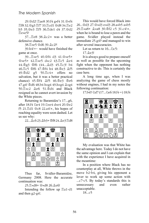29. d2! Eae8 30.f4 gxf4 31. @xf4 **Ef8 32.曾g3 Ef7 33.Ecd1 曾d8 34.Ee2** h5 35. le3 耳f5 36. Ede1 d4 37. ld2  $\Xi$ exe5?

 $37...$  $Be8$   $38.4c2 \pm$  was a better defensive chance.

38. xe5 營d6 39. Qc2?!

 $39. h4! \leftarrow$  would have finished the game at once.

39... Exe5 40. 皆f4 d3 41. 皆xe5+ 營×e5+ 42. xe5 dxc2 43. 且c5 鼻e4 44. g3 \$f6 (44... dd 345. Bc3! b4 46. Lc5 雪f6 47. 雪f4 h4 48. 曾e3 鱼f5  $49.\text{\textdegreeled{d}2}$  g5 50. $\text{\textdegreeled{t}cd1}$  offers no salvation, but it was a better practical chance) 45. 皆4 鼻f5 46. 曾e3 曾e6 47.g4! \$d6 48.b4 h×g4 49.h×g4  $\&$ ×g4  $50.\nexists x c2 \triangleleft e6 \quad 51.\nexists d4 \text{ and Black}$ resigned as he cannot avert invasion by the White pieces.

Returning to Baramidze's 17...g6, after 18.f4 公e4 19.公×e4 d×e4 20.當e2 f5 21. $\mathbb{Z}$ d1  $\mathbb{Q}$ c8 22.a4! $\pm$ , his hopes of reaching equality were soon dashed. Let us see why:

22... ac6 23. ab3+ 曾f8 24. ae3 Ed8



Thus far, Svidler-Baramidze, Germany 2008. Here the accurate continuation was:

25. Kxd8+ @xd8 26. Qe6!

Intending the follow up  $\Xi$ a1-d1 and then g2-g4!.

This would have forced Black into 26...營d3 27.營×d3 e×d3 28.a×b5 a×b5 29. xa8+  $\&$  xa8 30. \$f2 c5 31. c4! ±, when he is bound to lose a pawn and the game. Svidler played instead the immediate 25.g4!? and managed to win after several inaccuracies.

Let us return to  $16 \ldots \textcircled{2}$  c5: 17.Be3!

It is always good to prepare oneself as well as possible for the upcoming fight when the opponent has nothing constructive to do. This is certainly the case here.

A long time ago, when I was analyzing the game of chess mostly without engines, I had in my notes the following continuation:

17.b4!? ۞d7 (17...۞e6 18.f4→) 18.f4



My evaluation was that White has the advantage here. Today I do not have the same opinion and I can explain that with the experience I have acquired in the meantime:

In a position where Black has no counterplay at all, White throws in the move b2-b4, giving his opponent a lever to work up some action with ...c7-c5. By today's standards this is unnecessary and even rather unacceptable.

18...c5